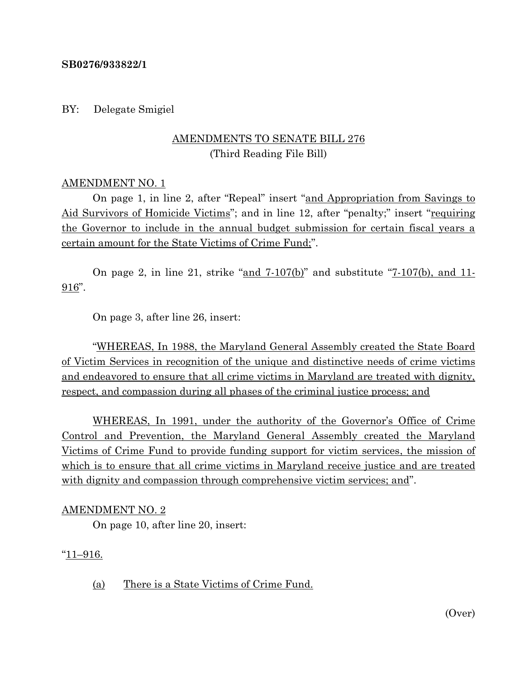#### **SB0276/933822/1**

BY: Delegate Smigiel

## AMENDMENTS TO SENATE BILL 276 (Third Reading File Bill)

#### AMENDMENT NO. 1

On page 1, in line 2, after "Repeal" insert "and Appropriation from Savings to Aid Survivors of Homicide Victims"; and in line 12, after "penalty;" insert "requiring the Governor to include in the annual budget submission for certain fiscal years a certain amount for the State Victims of Crime Fund;".

On page 2, in line 21, strike "and 7-107(b)" and substitute "7-107(b), and 11- 916".

On page 3, after line 26, insert:

"WHEREAS, In 1988, the Maryland General Assembly created the State Board of Victim Services in recognition of the unique and distinctive needs of crime victims and endeavored to ensure that all crime victims in Maryland are treated with dignity, respect, and compassion during all phases of the criminal justice process; and

WHEREAS, In 1991, under the authority of the Governor's Office of Crime Control and Prevention, the Maryland General Assembly created the Maryland Victims of Crime Fund to provide funding support for victim services, the mission of which is to ensure that all crime victims in Maryland receive justice and are treated with dignity and compassion through comprehensive victim services; and".

### AMENDMENT NO. 2

On page 10, after line 20, insert:

"11–916.

(a) There is a State Victims of Crime Fund.